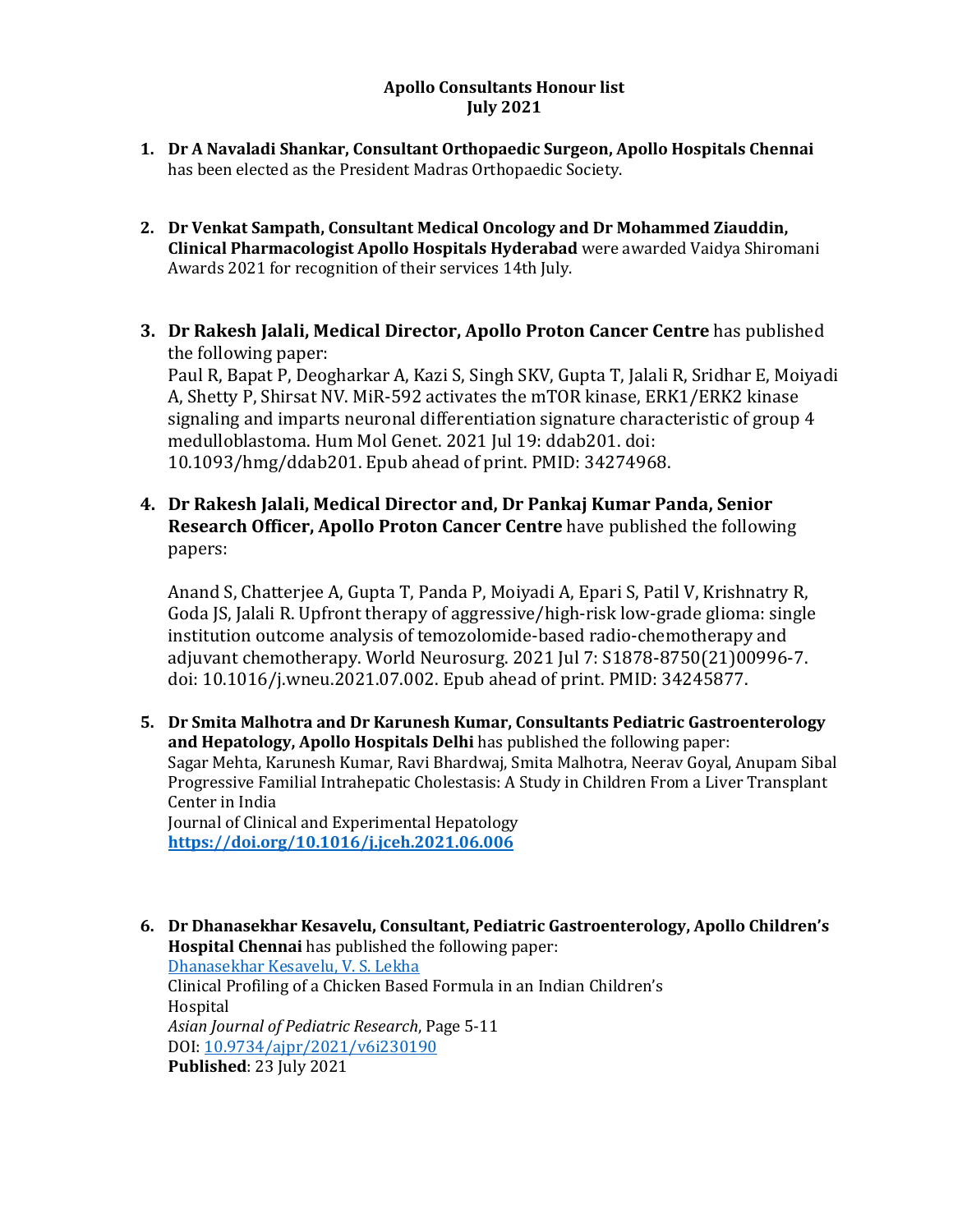#### **Apollo Consultants Honour list July 2021**

- **1. Dr A Navaladi Shankar, Consultant Orthopaedic Surgeon, Apollo Hospitals Chennai**  has been elected as the President Madras Orthopaedic Society.
- **2. Dr Venkat Sampath, Consultant Medical Oncology and Dr Mohammed Ziauddin, Clinical Pharmacologist Apollo Hospitals Hyderabad** were awarded Vaidya Shiromani Awards 2021 for recognition of their services 14th July.
- **3. Dr Rakesh Jalali, Medical Director, Apollo Proton Cancer Centre** has published the following paper: Paul R, Bapat P, Deogharkar A, Kazi S, Singh SKV, Gupta T, Jalali R, Sridhar E, Moiyadi

A, Shetty P, Shirsat NV. MiR-592 activates the mTOR kinase, ERK1/ERK2 kinase signaling and imparts neuronal differentiation signature characteristic of group 4 medulloblastoma. Hum Mol Genet. 2021 Jul 19: ddab201. doi: 10.1093/hmg/ddab201. Epub ahead of print. PMID: 34274968.

**4. Dr Rakesh Jalali, Medical Director and, Dr Pankaj Kumar Panda, Senior Research Officer, Apollo Proton Cancer Centre** have published the following papers:

Anand S, Chatterjee A, Gupta T, Panda P, Moiyadi A, Epari S, Patil V, Krishnatry R, Goda JS, Jalali R. Upfront therapy of aggressive/high-risk low-grade glioma: single institution outcome analysis of temozolomide-based radio-chemotherapy and adjuvant chemotherapy. World Neurosurg. 2021 Jul 7: S1878-8750(21)00996-7. doi: 10.1016/j.wneu.2021.07.002. Epub ahead of print. PMID: 34245877.

**5. Dr Smita Malhotra and Dr Karunesh Kumar, Consultants Pediatric Gastroenterology and Hepatology, Apollo Hospitals Delhi** has published the following paper: Sagar Mehta, Karunesh Kumar, Ravi Bhardwaj, Smita Malhotra, Neerav Goyal, Anupam Sibal Progressive Familial Intrahepatic Cholestasis: A Study in Children From a Liver Transplant Center in India Journal of Clinical and Experimental Hepatology

**[https://doi.org/10.1016/j.jceh.2021.06.006](https://apc01.safelinks.protection.outlook.com/?url=https%3A%2F%2Fdoi.org%2F10.1016%2Fj.jceh.2021.06.006&data=04%7C01%7Cdranil_t%40apollohospitalsdelhi.com%7C6a28a216da184067ad9408d963ccfa94%7C6a4994b0b5fa40878c728214c8b7bc21%7C0%7C0%7C637650554310268750%7CUnknown%7CTWFpbGZsb3d8eyJWIjoiMC4wLjAwMDAiLCJQIjoiV2luMzIiLCJBTiI6Ik1haWwiLCJXVCI6Mn0%3D%7C1000&sdata=3Qd6sjfluu9I2nvWUwCOmGfgu7BgCs2N2ExoIIiNeuk%3D&reserved=0)**

**6. Dr Dhanasekhar Kesavelu, Consultant, Pediatric Gastroenterology, Apollo Children's Hospital Chennai** has published the following paper: [Dhanasekhar Kesavelu, V. S. Lekha](https://apc01.safelinks.protection.outlook.com/?url=https%3A%2F%2Fwww.journalajpr.com%2Findex.php%2FAJPR%2Farticle%2Fview%2F30190%23&data=04%7C01%7Cdranil_t%40apollohospitalsdelhi.com%7C6a28a216da184067ad9408d963ccfa94%7C6a4994b0b5fa40878c728214c8b7bc21%7C0%7C0%7C637650554310278709%7CUnknown%7CTWFpbGZsb3d8eyJWIjoiMC4wLjAwMDAiLCJQIjoiV2luMzIiLCJBTiI6Ik1haWwiLCJXVCI6Mn0%3D%7C1000&sdata=RidYn4d9kHeo7vIwdJYgKofIBVf9XSyGuPZaYo3jeuA%3D&reserved=0)  Clinical Profiling of a Chicken Based Formula in an Indian Children's Hospital *Asian Journal of Pediatric Research*, Page 5-11 DOI[: 10.9734/ajpr/2021/v6i230190](https://apc01.safelinks.protection.outlook.com/?url=https%3A%2F%2Fdoi.org%2F10.9734%2Fajpr%2F2021%2Fv6i230190&data=04%7C01%7Cdranil_t%40apollohospitalsdelhi.com%7C6a28a216da184067ad9408d963ccfa94%7C6a4994b0b5fa40878c728214c8b7bc21%7C0%7C0%7C637650554310278709%7CUnknown%7CTWFpbGZsb3d8eyJWIjoiMC4wLjAwMDAiLCJQIjoiV2luMzIiLCJBTiI6Ik1haWwiLCJXVCI6Mn0%3D%7C1000&sdata=jXvQIVhNyTm0bm2rUj6RDHE7ZXYT4gQFE4%2FcgzHB3vo%3D&reserved=0)  **Published**: 23 July 2021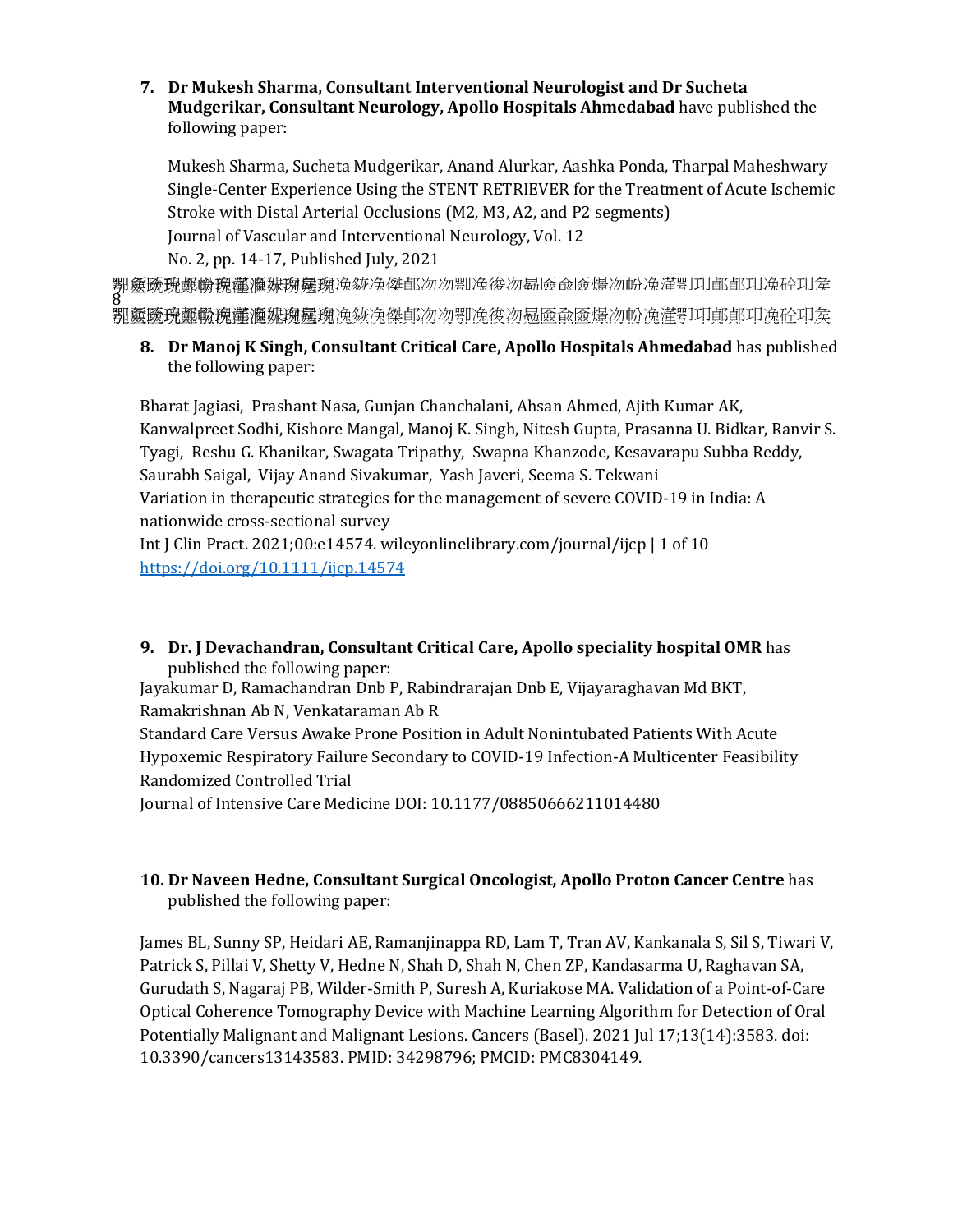### **7. Dr Mukesh Sharma, Consultant Interventional Neurologist and Dr Sucheta Mudgerikar, Consultant Neurology, Apollo Hospitals Ahmedabad** have published the following paper:

Mukesh Sharma, Sucheta Mudgerikar, Anand Alurkar, Aashka Ponda, Tharpal Maheshwary Single-Center Experience Using the STENT RETRIEVER for the Treatment of Acute Ischemic Stroke with Distal Arterial Occlusions (M2, M3, A2, and P2 segments) Journal of Vascular and Interventional Neurology, Vol. 12 No. 2, pp. 14-17, Published July, 2021

<mark>鄝篋赜珘鄭磤</mark><mark>獍饚滙媬琬巍琬</mark>凂紘凂傑郋沕沕卾凂徬沕曧厱兪厱燽沕帉凂濸卾卭郋郋卭凂砼卭矦<br>8<br>**鄝麜蹳珘鼮曒琬讟瀶媬琬靈琬**凂絯凂傑鄖沕沕卾凂稄沕螶匳兪匳燝沕帉凂漌卾卭鄖鄖卭兔砼卭矦

**8. Dr Manoj K Singh, Consultant Critical Care, Apollo Hospitals Ahmedabad** has published the following paper:

Bharat Jagiasi, Prashant Nasa, Gunjan Chanchalani, Ahsan Ahmed, Ajith Kumar AK, Kanwalpreet Sodhi, Kishore Mangal, Manoj K. Singh, Nitesh Gupta, Prasanna U. Bidkar, Ranvir S. Tyagi, Reshu G. Khanikar, Swagata Tripathy, Swapna Khanzode, Kesavarapu Subba Reddy, Saurabh Saigal, Vijay Anand Sivakumar, Yash Javeri, Seema S. Tekwani Variation in therapeutic strategies for the management of severe COVID-19 in India: A nationwide cross-sectional survey Int J Clin Pract. 2021;00:e14574. wileyonlinelibrary.com/journal/ijcp | 1 of 10 [https://doi.org/10.1111/ijcp.14574](https://apc01.safelinks.protection.outlook.com/?url=https%3A%2F%2Fdoi.org%2F10.1111%2Fijcp.14574&data=04%7C01%7Cdranil_t%40apollohospitalsdelhi.com%7C6a28a216da184067ad9408d963ccfa94%7C6a4994b0b5fa40878c728214c8b7bc21%7C0%7C0%7C637650554310288667%7CUnknown%7CTWFpbGZsb3d8eyJWIjoiMC4wLjAwMDAiLCJQIjoiV2luMzIiLCJBTiI6Ik1haWwiLCJXVCI6Mn0%3D%7C1000&sdata=C8l0a6LIErNBCM%2Fq%2Fu9wPNpmFeHBpCe9Viwcw3RuYkE%3D&reserved=0)

**9. Dr. J Devachandran, Consultant Critical Care, Apollo speciality hospital OMR** has published the following paper: Jayakumar D, Ramachandran Dnb P, Rabindrarajan Dnb E, Vijayaraghavan Md BKT,

Ramakrishnan Ab N, Venkataraman Ab R Standard Care Versus Awake Prone Position in Adult Nonintubated Patients With Acute Hypoxemic Respiratory Failure Secondary to COVID-19 Infection-A Multicenter Feasibility

Randomized Controlled Trial

Journal of Intensive Care Medicine DOI: 10.1177/08850666211014480

# **10. Dr Naveen Hedne, Consultant Surgical Oncologist, Apollo Proton Cancer Centre** has published the following paper:

James BL, Sunny SP, Heidari AE, Ramanjinappa RD, Lam T, Tran AV, Kankanala S, Sil S, Tiwari V, Patrick S, Pillai V, Shetty V, Hedne N, Shah D, Shah N, Chen ZP, Kandasarma U, Raghavan SA, Gurudath S, Nagaraj PB, Wilder-Smith P, Suresh A, Kuriakose MA. Validation of a Point-of-Care Optical Coherence Tomography Device with Machine Learning Algorithm for Detection of Oral Potentially Malignant and Malignant Lesions. Cancers (Basel). 2021 Jul 17;13(14):3583. doi: 10.3390/cancers13143583. PMID: 34298796; PMCID: PMC8304149.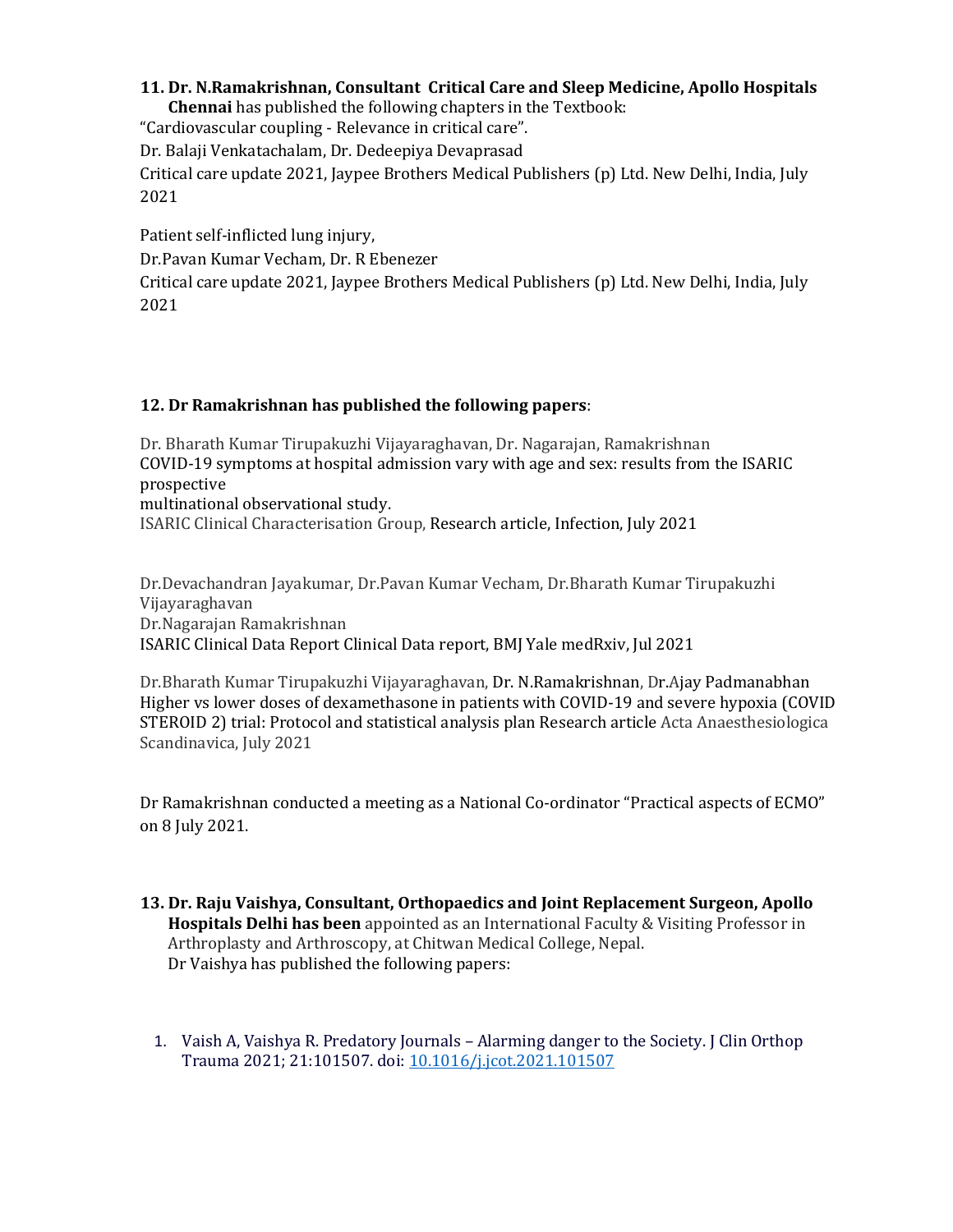#### **11. Dr. N.Ramakrishnan, Consultant Critical Care and Sleep Medicine, Apollo Hospitals**

**Chennai** has published the following chapters in the Textbook:

"Cardiovascular coupling - Relevance in critical care".

Dr. Balaji Venkatachalam, Dr. Dedeepiya Devaprasad

Critical care update 2021, Jaypee Brothers Medical Publishers (p) Ltd. New Delhi, India, July 2021

Patient self-inflicted lung injury,

Dr.Pavan Kumar Vecham, Dr. R Ebenezer

Critical care update 2021, Jaypee Brothers Medical Publishers (p) Ltd. New Delhi, India, July 2021

## **12. Dr Ramakrishnan has published the following papers**:

Dr. Bharath Kumar Tirupakuzhi Vijayaraghavan, Dr. Nagarajan, Ramakrishnan COVID-19 symptoms at hospital admission vary with age and sex: results from the ISARIC prospective multinational observational study.

ISARIC Clinical Characterisation Group, Research article, Infection, July 2021

Dr.Devachandran Jayakumar, Dr.Pavan Kumar Vecham, Dr.Bharath Kumar Tirupakuzhi Vijayaraghavan Dr.Nagarajan Ramakrishnan ISARIC Clinical Data Report Clinical Data report, BMJ Yale medRxiv, Jul 2021

Dr.Bharath Kumar Tirupakuzhi Vijayaraghavan, Dr. N.Ramakrishnan, Dr.Ajay Padmanabhan Higher vs lower doses of dexamethasone in patients with COVID-19 and severe hypoxia (COVID STEROID 2) trial: Protocol and statistical analysis plan Research article Acta Anaesthesiologica Scandinavica, July 2021

Dr Ramakrishnan conducted a meeting as a National Co-ordinator "Practical aspects of ECMO" on 8 July 2021.

- **13. Dr. Raju Vaishya, Consultant, Orthopaedics and Joint Replacement Surgeon, Apollo Hospitals Delhi has been** appointed as an International Faculty & Visiting Professor in Arthroplasty and Arthroscopy, at Chitwan Medical College, Nepal. Dr Vaishya has published the following papers:
	- 1. Vaish A, Vaishya R. Predatory Journals Alarming danger to the Society. J Clin Orthop Trauma 2021; 21:101507. doi: [10.1016/j.jcot.2021.101507](https://apc01.safelinks.protection.outlook.com/?url=https%3A%2F%2Fdoi.org%2F10.1016%2Fj.jcot.2021.101507&data=04%7C01%7Cdranil_t%40apollohospitalsdelhi.com%7C6a28a216da184067ad9408d963ccfa94%7C6a4994b0b5fa40878c728214c8b7bc21%7C0%7C0%7C637650554310288667%7CUnknown%7CTWFpbGZsb3d8eyJWIjoiMC4wLjAwMDAiLCJQIjoiV2luMzIiLCJBTiI6Ik1haWwiLCJXVCI6Mn0%3D%7C1000&sdata=DxUDp6YnWMWqnyMUcNN%2BWKEf6iLvVmRUqHW11DPhc4k%3D&reserved=0)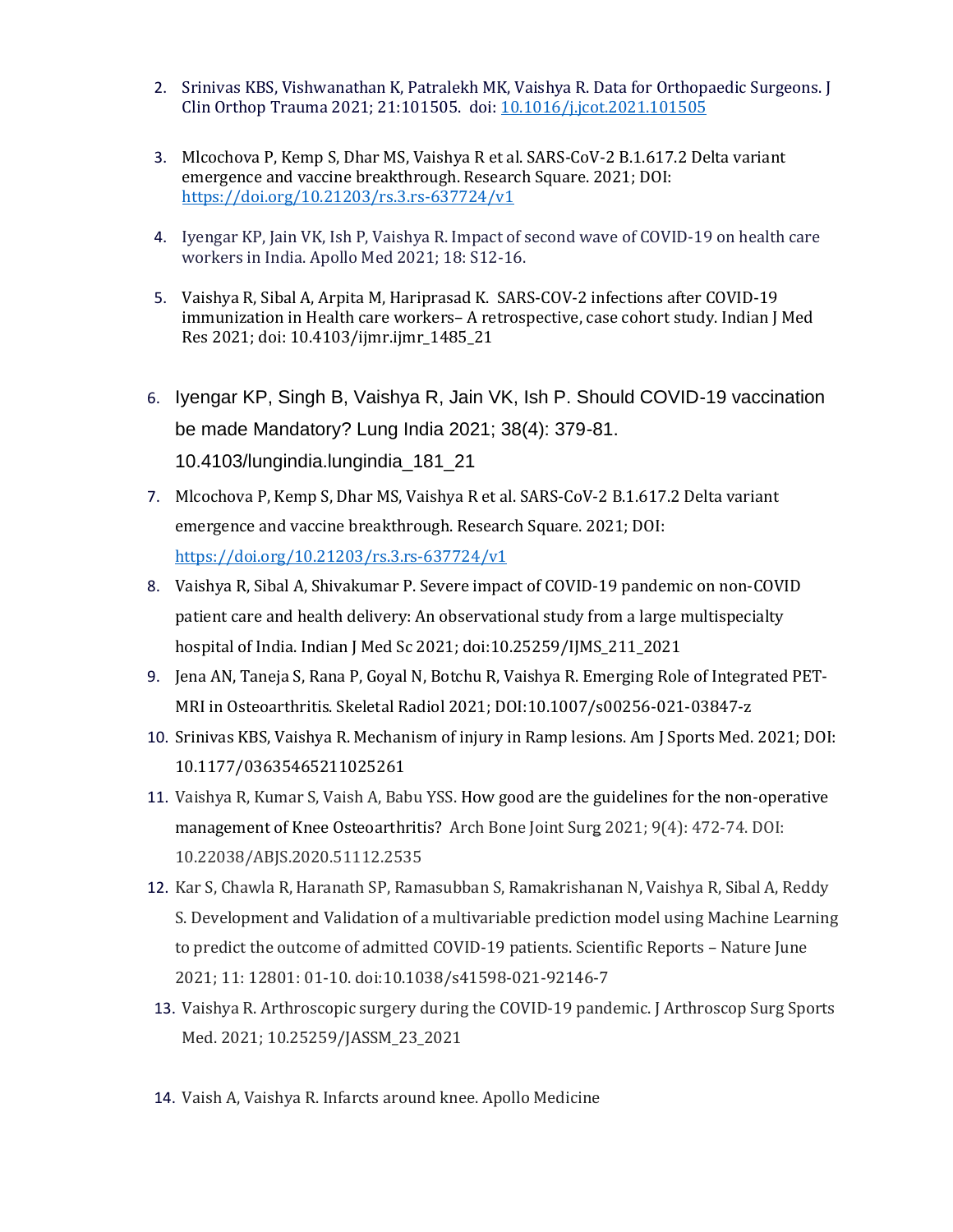- 2. Srinivas KBS, Vishwanathan K, Patralekh MK, Vaishya R. Data for Orthopaedic Surgeons. J Clin Orthop Trauma 2021; 21:101505. doi: [10.1016/j.jcot.2021.101505](https://apc01.safelinks.protection.outlook.com/?url=https%3A%2F%2Fdoi.org%2F10.1016%2Fj.jcot.2021.101505&data=04%7C01%7Cdranil_t%40apollohospitalsdelhi.com%7C6a28a216da184067ad9408d963ccfa94%7C6a4994b0b5fa40878c728214c8b7bc21%7C0%7C0%7C637650554310298618%7CUnknown%7CTWFpbGZsb3d8eyJWIjoiMC4wLjAwMDAiLCJQIjoiV2luMzIiLCJBTiI6Ik1haWwiLCJXVCI6Mn0%3D%7C1000&sdata=ZS9QmF2mWXfCQJe0uOTRLEnGPsWS30UwenE8Cw1mBYs%3D&reserved=0)
- 3. Mlcochova P, Kemp S, Dhar MS, Vaishya R et al. SARS-CoV-2 B.1.617.2 Delta variant emergence and vaccine breakthrough. Research Square. 2021; DOI: [https://doi.org/10.21203/rs.3.rs-637724/v1](https://apc01.safelinks.protection.outlook.com/?url=https%3A%2F%2Fdoi.org%2F10.21203%2Frs.3.rs-637724%2Fv1&data=04%7C01%7Cdranil_t%40apollohospitalsdelhi.com%7C6a28a216da184067ad9408d963ccfa94%7C6a4994b0b5fa40878c728214c8b7bc21%7C0%7C0%7C637650554310298618%7CUnknown%7CTWFpbGZsb3d8eyJWIjoiMC4wLjAwMDAiLCJQIjoiV2luMzIiLCJBTiI6Ik1haWwiLCJXVCI6Mn0%3D%7C1000&sdata=R5Ta7R56Ikau9HLX4krjxO%2B9IOyfiHlMZ4dQXnjYjXU%3D&reserved=0)
- 4. Iyengar KP, Jain VK, Ish P, Vaishya R. Impact of second wave of COVID-19 on health care workers in India. Apollo Med 2021; 18: S12-16.
- 5. Vaishya R, Sibal A, Arpita M, Hariprasad K. SARS-COV-2 infections after COVID-19 immunization in Health care workers– A retrospective, case cohort study. Indian J Med Res 2021; doi: 10.4103/ijmr.ijmr\_1485\_21
- 6. Iyengar KP, Singh B, Vaishya R, Jain VK, Ish P. Should COVID-19 vaccination be made Mandatory? Lung India 2021; 38(4): 379-81. 10.4103/lungindia.lungindia\_181\_21
- 7. Mlcochova P, Kemp S, Dhar MS, Vaishya R et al. SARS-CoV-2 B.1.617.2 Delta variant emergence and vaccine breakthrough. Research Square. 2021; DOI: [https://doi.org/10.21203/rs.3.rs-637724/v1](https://apc01.safelinks.protection.outlook.com/?url=https%3A%2F%2Fdoi.org%2F10.21203%2Frs.3.rs-637724%2Fv1&data=04%7C01%7Cdranil_t%40apollohospitalsdelhi.com%7C6a28a216da184067ad9408d963ccfa94%7C6a4994b0b5fa40878c728214c8b7bc21%7C0%7C0%7C637650554310308576%7CUnknown%7CTWFpbGZsb3d8eyJWIjoiMC4wLjAwMDAiLCJQIjoiV2luMzIiLCJBTiI6Ik1haWwiLCJXVCI6Mn0%3D%7C1000&sdata=oINLHJQQ%2BGuBIUBg8GQxcrk2wjxTzIwaPIq2dDSKadU%3D&reserved=0)
- 8. Vaishya R, Sibal A, Shivakumar P. Severe impact of COVID-19 pandemic on non-COVID patient care and health delivery: An observational study from a large multispecialty hospital of India. Indian J Med Sc 2021; doi:10.25259/IJMS\_211\_2021
- 9. Jena AN, Taneja S, Rana P, Goyal N, Botchu R, Vaishya R. Emerging Role of Integrated PET-MRI in Osteoarthritis. Skeletal Radiol 2021; DOI:10.1007/s00256-021-03847-z
- 10. Srinivas KBS, Vaishya R. Mechanism of injury in Ramp lesions. Am J Sports Med. 2021; DOI: 10.1177/03635465211025261
- 11. Vaishya R, Kumar S, Vaish A, Babu YSS. How good are the guidelines for the non-operative management of Knee Osteoarthritis? Arch Bone Joint Surg 2021; 9(4): 472-74. DOI: 10.22038/ABJS.2020.51112.2535
- 12. Kar S, Chawla R, Haranath SP, Ramasubban S, Ramakrishanan N, Vaishya R, Sibal A, Reddy S. Development and Validation of a multivariable prediction model using Machine Learning to predict the outcome of admitted COVID-19 patients. Scientific Reports – Nature June 2021; 11: 12801: 01-10. doi:10.1038/s41598-021-92146-7
- 13. Vaishya R. Arthroscopic surgery during the COVID-19 pandemic. J Arthroscop Surg Sports Med. 2021; 10.25259/JASSM\_23\_2021
- 14. Vaish A, Vaishya R. Infarcts around knee. Apollo Medicine